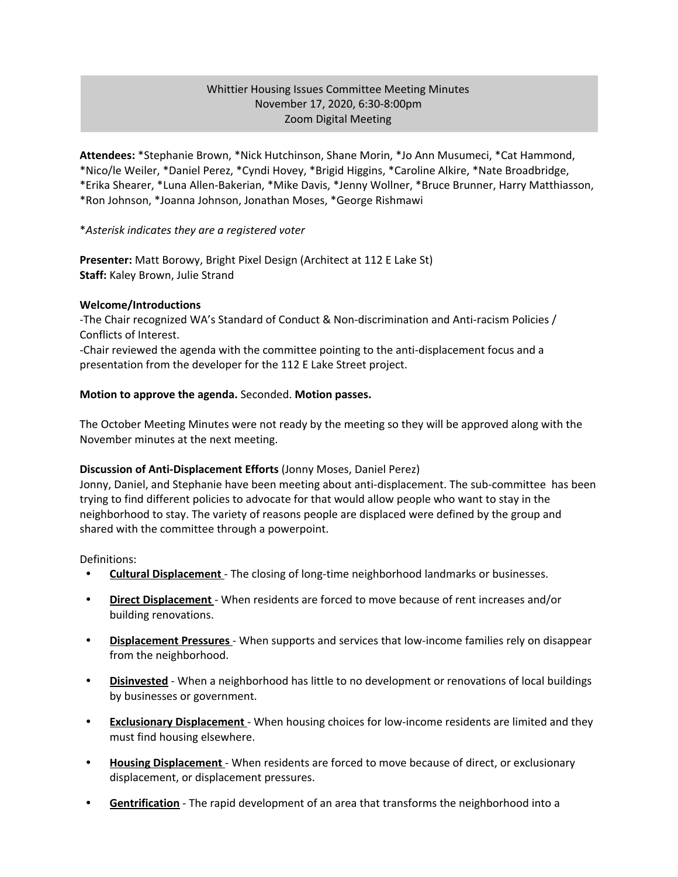# Whittier Housing Issues Committee Meeting Minutes November 17, 2020, 6:30-8:00pm Zoom Digital Meeting

**Attendees:** \*Stephanie Brown, \*Nick Hutchinson, Shane Morin, \*Jo Ann Musumeci, \*Cat Hammond, \*Nico/le Weiler, \*Daniel Perez, \*Cyndi Hovey, \*Brigid Higgins, \*Caroline Alkire, \*Nate Broadbridge, \*Erika Shearer, \*Luna Allen-Bakerian, \*Mike Davis, \*Jenny Wollner, \*Bruce Brunner, Harry Matthiasson, \*Ron Johnson, \*Joanna Johnson, Jonathan Moses, \*George Rishmawi

### \**Asterisk indicates they are a registered voter*

**Presenter:** Matt Borowy, Bright Pixel Design (Architect at 112 E Lake St) **Staff:** Kaley Brown, Julie Strand

### **Welcome/Introductions**

-The Chair recognized WA's Standard of Conduct & Non-discrimination and Anti-racism Policies / Conflicts of Interest.

-Chair reviewed the agenda with the committee pointing to the anti-displacement focus and a presentation from the developer for the 112 E Lake Street project.

### **Motion to approve the agenda.** Seconded. **Motion passes.**

The October Meeting Minutes were not ready by the meeting so they will be approved along with the November minutes at the next meeting.

### **Discussion of Anti-Displacement Efforts** (Jonny Moses, Daniel Perez)

Jonny, Daniel, and Stephanie have been meeting about anti-displacement. The sub-committee has been trying to find different policies to advocate for that would allow people who want to stay in the neighborhood to stay. The variety of reasons people are displaced were defined by the group and shared with the committee through a powerpoint.

Definitions:

- **• Cultural Displacement** The closing of long-time neighborhood landmarks or businesses.
- **• Direct Displacement** When residents are forced to move because of rent increases and/or building renovations.
- **• Displacement Pressures** When supports and services that low-income families rely on disappear from the neighborhood.
- **• Disinvested** When a neighborhood has little to no development or renovations of local buildings by businesses or government.
- **• Exclusionary Displacement** When housing choices for low-income residents are limited and they must find housing elsewhere.
- **• Housing Displacement** When residents are forced to move because of direct, or exclusionary displacement, or displacement pressures.
- **• Gentrification** The rapid development of an area that transforms the neighborhood into a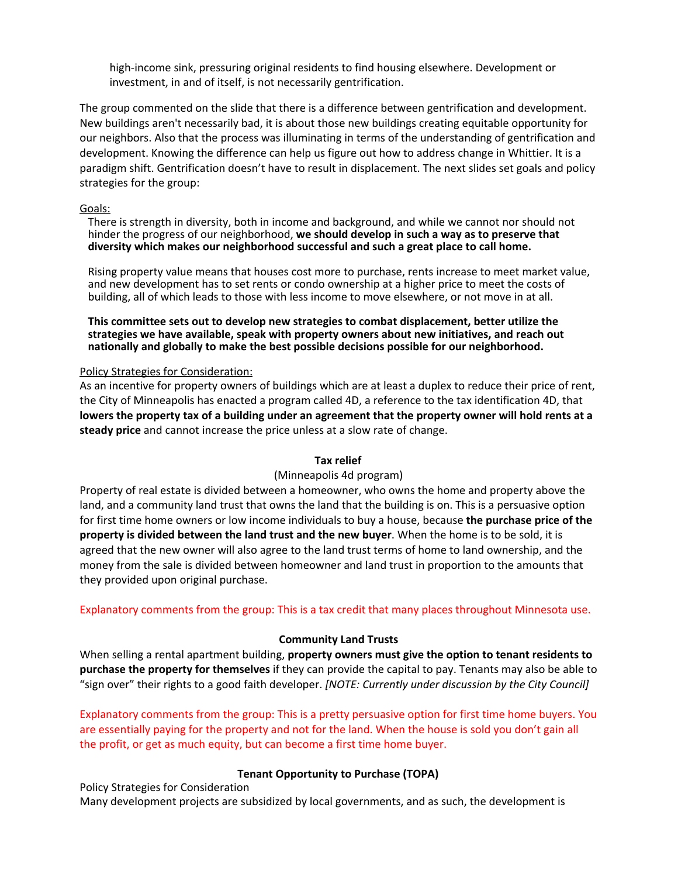high-income sink, pressuring original residents to find housing elsewhere. Development or investment, in and of itself, is not necessarily gentrification.

The group commented on the slide that there is a difference between gentrification and development. New buildings aren't necessarily bad, it is about those new buildings creating equitable opportunity for our neighbors. Also that the process was illuminating in terms of the understanding of gentrification and development. Knowing the difference can help us figure out how to address change in Whittier. It is a paradigm shift. Gentrification doesn't have to result in displacement. The next slides set goals and policy strategies for the group:

### Goals:

There is strength in diversity, both in income and background, and while we cannot nor should not hinder the progress of our neighborhood, **we should develop in such a way as to preserve that diversity which makes our neighborhood successful and such a great place to call home.**

Rising property value means that houses cost more to purchase, rents increase to meet market value, and new development has to set rents or condo ownership at a higher price to meet the costs of building, all of which leads to those with less income to move elsewhere, or not move in at all.

**This committee sets out to develop new strategies to combat displacement, better utilize the strategies we have available, speak with property owners about new initiatives, and reach out nationally and globally to make the best possible decisions possible for our neighborhood.**

### Policy Strategies for Consideration:

As an incentive for property owners of buildings which are at least a duplex to reduce their price of rent, the City of Minneapolis has enacted a program called 4D, a reference to the tax identification 4D, that lowers the property tax of a building under an agreement that the property owner will hold rents at a **steady price** and cannot increase the price unless at a slow rate of change.

### **Tax relief**

### (Minneapolis 4d program)

Property of real estate is divided between a homeowner, who owns the home and property above the land, and a community land trust that owns the land that the building is on. This is a persuasive option for first time home owners or low income individuals to buy a house, because **the purchase price of the property is divided between the land trust and the new buyer**. When the home is to be sold, it is agreed that the new owner will also agree to the land trust terms of home to land ownership, and the money from the sale is divided between homeowner and land trust in proportion to the amounts that they provided upon original purchase.

Explanatory comments from the group: This is a tax credit that many places throughout Minnesota use.

### **Community Land Trusts**

When selling a rental apartment building, **property owners must give the option to tenant residents to purchase the property for themselves** if they can provide the capital to pay. Tenants may also be able to "sign over" their rights to a good faith developer. *[NOTE: Currently under discussion by the City Council]*

Explanatory comments from the group: This is a pretty persuasive option for first time home buyers. You are essentially paying for the property and not for the land. When the house is sold you don't gain all the profit, or get as much equity, but can become a first time home buyer.

## **Tenant Opportunity to Purchase (TOPA)**

Policy Strategies for Consideration Many development projects are subsidized by local governments, and as such, the development is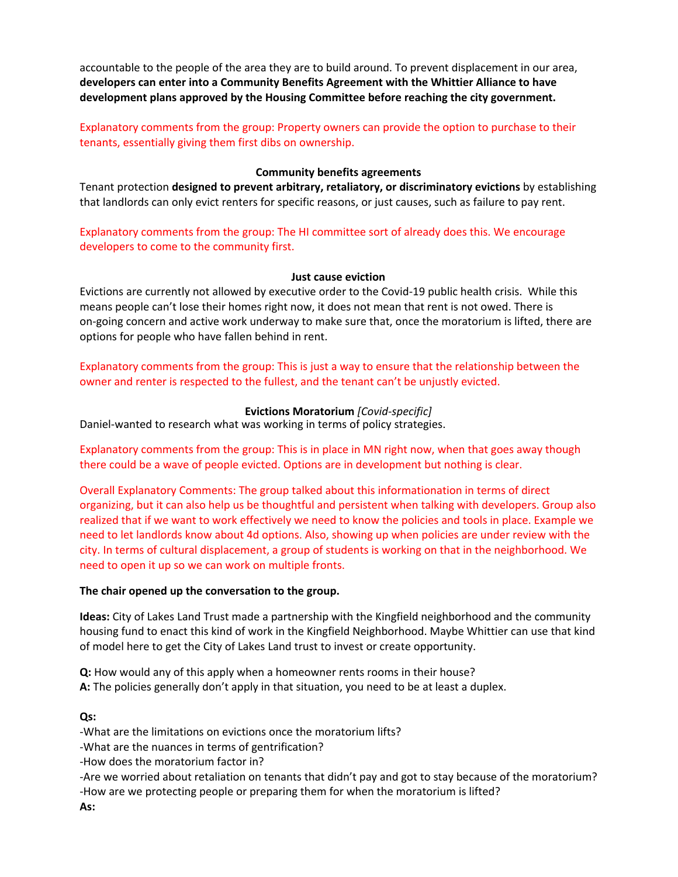accountable to the people of the area they are to build around. To prevent displacement in our area, **developers can enter into a Community Benefits Agreement with the Whittier Alliance to have development plans approved by the Housing Committee before reaching the city government.**

Explanatory comments from the group: Property owners can provide the option to purchase to their tenants, essentially giving them first dibs on ownership.

## **Community benefits agreements**

Tenant protection **designed to prevent arbitrary, retaliatory, or discriminatory evictions** by establishing that landlords can only evict renters for specific reasons, or just causes, such as failure to pay rent.

Explanatory comments from the group: The HI committee sort of already does this. We encourage developers to come to the community first.

### **Just cause eviction**

Evictions are currently not allowed by executive order to the Covid-19 public health crisis. While this means people can't lose their homes right now, it does not mean that rent is not owed. There is on-going concern and active work underway to make sure that, once the moratorium is lifted, there are options for people who have fallen behind in rent.

Explanatory comments from the group: This is just a way to ensure that the relationship between the owner and renter is respected to the fullest, and the tenant can't be unjustly evicted.

## **Evictions Moratorium** *[Covid-specific]*

Daniel-wanted to research what was working in terms of policy strategies.

Explanatory comments from the group: This is in place in MN right now, when that goes away though there could be a wave of people evicted. Options are in development but nothing is clear.

Overall Explanatory Comments: The group talked about this informationation in terms of direct organizing, but it can also help us be thoughtful and persistent when talking with developers. Group also realized that if we want to work effectively we need to know the policies and tools in place. Example we need to let landlords know about 4d options. Also, showing up when policies are under review with the city. In terms of cultural displacement, a group of students is working on that in the neighborhood. We need to open it up so we can work on multiple fronts.

### **The chair opened up the conversation to the group.**

**Ideas:** City of Lakes Land Trust made a partnership with the Kingfield neighborhood and the community housing fund to enact this kind of work in the Kingfield Neighborhood. Maybe Whittier can use that kind of model here to get the City of Lakes Land trust to invest or create opportunity.

**Q:** How would any of this apply when a homeowner rents rooms in their house? **A:** The policies generally don't apply in that situation, you need to be at least a duplex.

## **Qs:**

-What are the limitations on evictions once the moratorium lifts?

-What are the nuances in terms of gentrification?

-How does the moratorium factor in?

-Are we worried about retaliation on tenants that didn't pay and got to stay because of the moratorium? -How are we protecting people or preparing them for when the moratorium is lifted?

**As:**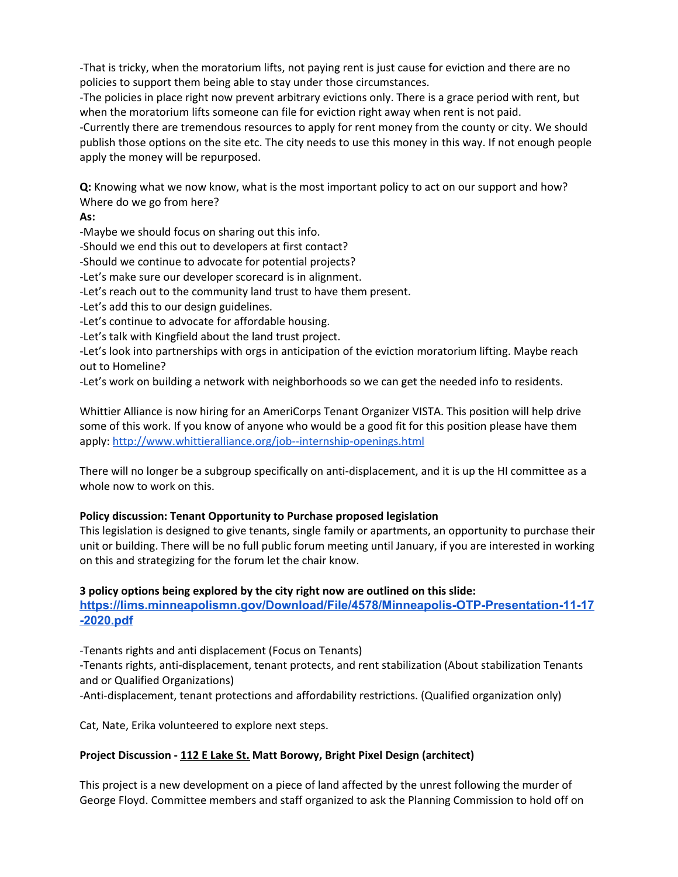-That is tricky, when the moratorium lifts, not paying rent is just cause for eviction and there are no policies to support them being able to stay under those circumstances.

-The policies in place right now prevent arbitrary evictions only. There is a grace period with rent, but when the moratorium lifts someone can file for eviction right away when rent is not paid.

-Currently there are tremendous resources to apply for rent money from the county or city. We should publish those options on the site etc. The city needs to use this money in this way. If not enough people apply the money will be repurposed.

**Q:** Knowing what we now know, what is the most important policy to act on our support and how? Where do we go from here?

**As:**

-Maybe we should focus on sharing out this info.

-Should we end this out to developers at first contact?

-Should we continue to advocate for potential projects?

-Let's make sure our developer scorecard is in alignment.

-Let's reach out to the community land trust to have them present.

-Let's add this to our design guidelines.

-Let's continue to advocate for affordable housing.

-Let's talk with Kingfield about the land trust project.

-Let's look into partnerships with orgs in anticipation of the eviction moratorium lifting. Maybe reach out to Homeline?

-Let's work on building a network with neighborhoods so we can get the needed info to residents.

Whittier Alliance is now hiring for an AmeriCorps Tenant Organizer VISTA. This position will help drive some of this work. If you know of anyone who would be a good fit for this position please have them apply: <http://www.whittieralliance.org/job--internship-openings.html>

There will no longer be a subgroup specifically on anti-displacement, and it is up the HI committee as a whole now to work on this.

# **Policy discussion: Tenant Opportunity to Purchase proposed legislation**

This legislation is designed to give tenants, single family or apartments, an opportunity to purchase their unit or building. There will be no full public forum meeting until January, if you are interested in working on this and strategizing for the forum let the chair know.

# **3 policy options being explored by the city right now are outlined on this slide: [https://lims.minneapolismn.gov/Download/File/4578/Minneapolis-OTP-Presentation-11-17](https://lims.minneapolismn.gov/Download/File/4578/Minneapolis-OTP-Presentation-11-17-2020.pdf) [-2020.pdf](https://lims.minneapolismn.gov/Download/File/4578/Minneapolis-OTP-Presentation-11-17-2020.pdf)**

-Tenants rights and anti displacement (Focus on Tenants)

-Tenants rights, anti-displacement, tenant protects, and rent stabilization (About stabilization Tenants and or Qualified Organizations)

-Anti-displacement, tenant protections and affordability restrictions. (Qualified organization only)

Cat, Nate, Erika volunteered to explore next steps.

# **Project Discussion - 112 E [Lake](https://lims.minneapolismn.gov/download/Agenda/1344/RPT-PLAN11756-112%20Lake%20St%20E.pdf/50057/2077/112%20Lake%20St%20E) St. Matt Borowy, Bright Pixel Design (architect)**

This project is a new development on a piece of land affected by the unrest following the murder of George Floyd. Committee members and staff organized to ask the Planning Commission to hold off on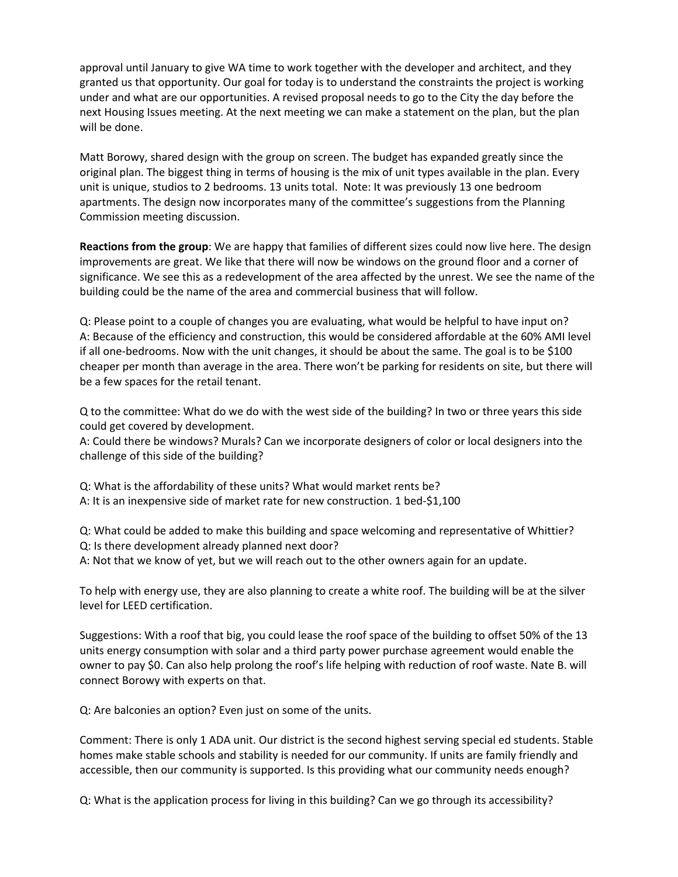approval until January to give WA time to work together with the developer and architect, and they granted us that opportunity. Our goal for today is to understand the constraints the project is working under and what are our opportunities. A revised proposal needs to go to the City the day before the next Housing Issues meeting. At the next meeting we can make a statement on the plan, but the plan will be done.

Matt Borowy, shared design with the group on screen. The budget has expanded greatly since the original plan. The biggest thing in terms of housing is the mix of unit types available in the plan. Every unit is unique, studios to 2 bedrooms. 13 units total. Note: It was previously 13 one bedroom apartments. The design now incorporates many of the committee's suggestions from the Planning Commission meeting discussion.

**Reactions from the group**: We are happy that families of different sizes could now live here. The design improvements are great. We like that there will now be windows on the ground floor and a corner of significance. We see this as a redevelopment of the area affected by the unrest. We see the name of the building could be the name of the area and commercial business that will follow.

Q: Please point to a couple of changes you are evaluating, what would be helpful to have input on? A: Because of the efficiency and construction, this would be considered affordable at the 60% AMI level if all one-bedrooms. Now with the unit changes, it should be about the same. The goal is to be \$100 cheaper per month than average in the area. There won't be parking for residents on site, but there will be a few spaces for the retail tenant.

Q to the committee: What do we do with the west side of the building? In two or three years this side could get covered by development.

A: Could there be windows? Murals? Can we incorporate designers of color or local designers into the challenge of this side of the building?

Q: What is the affordability of these units? What would market rents be? A: It is an inexpensive side of market rate for new construction. 1 bed-\$1,100

Q: What could be added to make this building and space welcoming and representative of Whittier? Q: Is there development already planned next door?

A: Not that we know of yet, but we will reach out to the other owners again for an update.

To help with energy use, they are also planning to create a white roof. The building will be at the silver level for LEED certification.

Suggestions: With a roof that big, you could lease the roof space of the building to offset 50% of the 13 units energy consumption with solar and a third party power purchase agreement would enable the owner to pay \$0. Can also help prolong the roof's life helping with reduction of roof waste. Nate B. will connect Borowy with experts on that.

Q: Are balconies an option? Even just on some of the units.

Comment: There is only 1 ADA unit. Our district is the second highest serving special ed students. Stable homes make stable schools and stability is needed for our community. If units are family friendly and accessible, then our community is supported. Is this providing what our community needs enough?

Q: What is the application process for living in this building? Can we go through its accessibility?